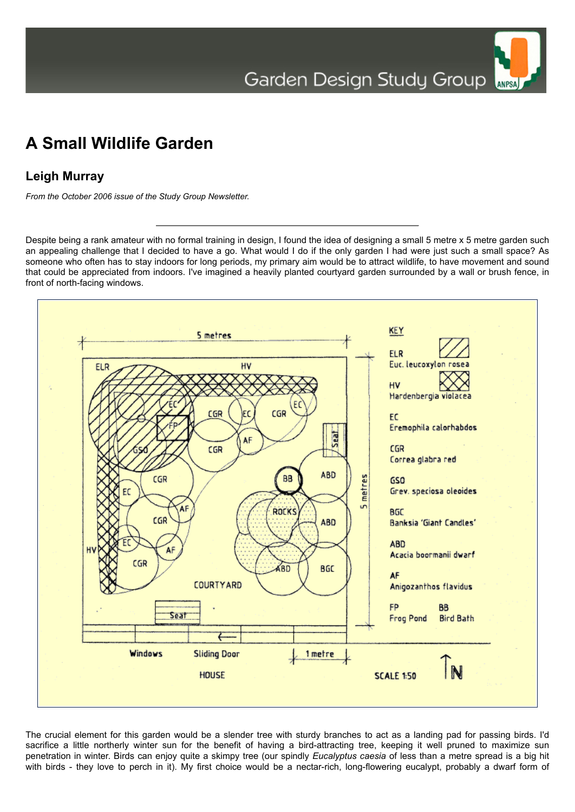ANPSA

## **A Small Wildlife Garden**

## **Leigh Murray**

*From the October 2006 issue of the Study Group Newsletter.*

Despite being a rank amateur with no formal training in design, I found the idea of designing a small 5 metre x 5 metre garden such an appealing challenge that I decided to have a go. What would I do if the only garden I had were just such a small space? As someone who often has to stay indoors for long periods, my primary aim would be to attract wildlife, to have movement and sound that could be appreciated from indoors. I've imagined a heavily planted courtyard garden surrounded by a wall or brush fence, in front of north-facing windows.



The crucial element for this garden would be a slender tree with sturdy branches to act as a landing pad for passing birds. I'd sacrifice a little northerly winter sun for the benefit of having a bird-attracting tree, keeping it well pruned to maximize sun penetration in winter. Birds can enjoy quite a skimpy tree (our spindly *Eucalyptus caesia* of less than a metre spread is a big hit with birds - they love to perch in it). My first choice would be a nectar-rich, long-flowering eucalypt, probably a dwarf form of